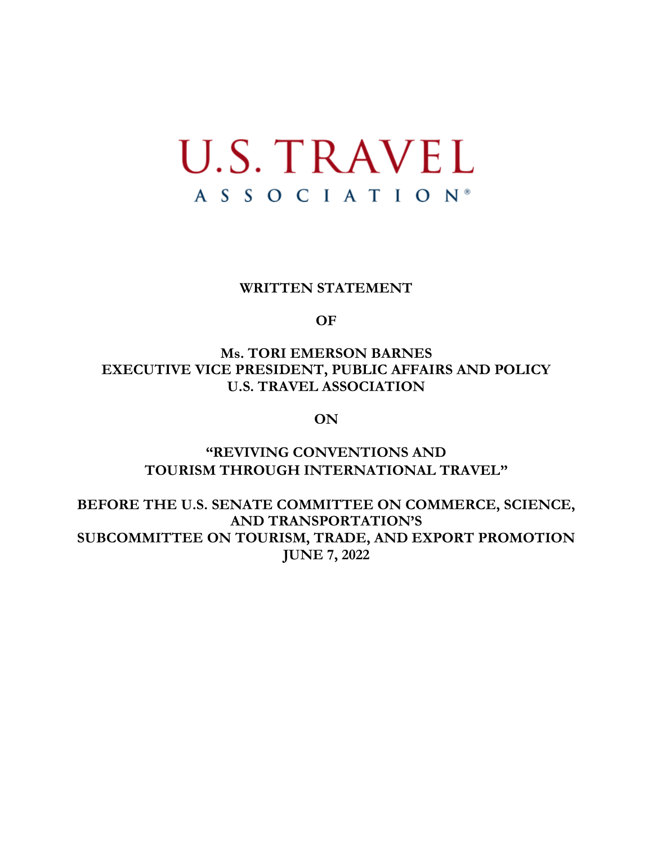# **U.S. TRAVEL** ASSOCIATION®

#### **WRITTEN STATEMENT**

**OF**

**Ms. TORI EMERSON BARNES EXECUTIVE VICE PRESIDENT, PUBLIC AFFAIRS AND POLICY U.S. TRAVEL ASSOCIATION** 

**ON**

# **"REVIVING CONVENTIONS AND TOURISM THROUGH INTERNATIONAL TRAVEL"**

**BEFORE THE U.S. SENATE COMMITTEE ON COMMERCE, SCIENCE, AND TRANSPORTATION'S SUBCOMMITTEE ON TOURISM, TRADE, AND EXPORT PROMOTION JUNE 7, 2022**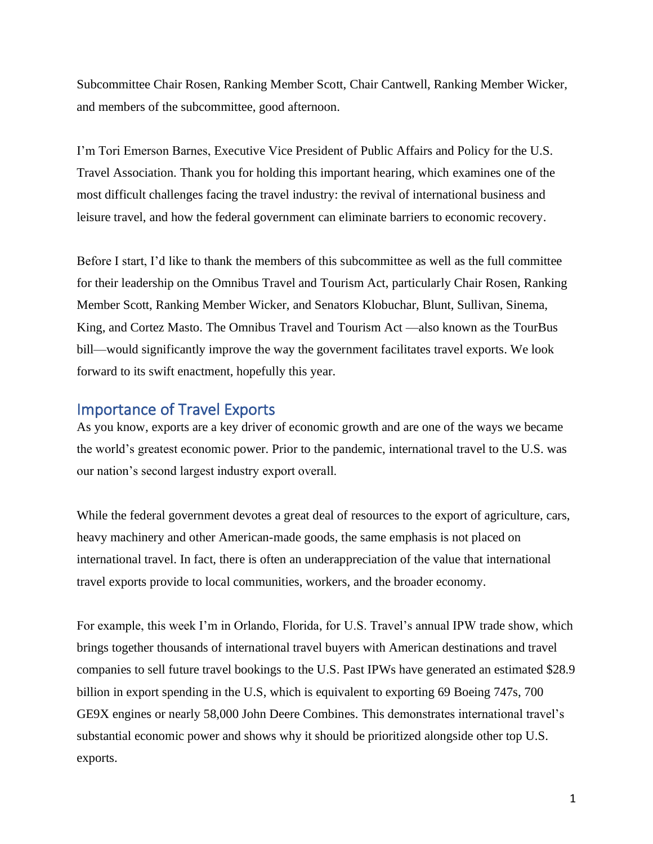Subcommittee Chair Rosen, Ranking Member Scott, Chair Cantwell, Ranking Member Wicker, and members of the subcommittee, good afternoon.

I'm Tori Emerson Barnes, Executive Vice President of Public Affairs and Policy for the U.S. Travel Association. Thank you for holding this important hearing, which examines one of the most difficult challenges facing the travel industry: the revival of international business and leisure travel, and how the federal government can eliminate barriers to economic recovery.

Before I start, I'd like to thank the members of this subcommittee as well as the full committee for their leadership on the Omnibus Travel and Tourism Act, particularly Chair Rosen, Ranking Member Scott, Ranking Member Wicker, and Senators Klobuchar, Blunt, Sullivan, Sinema, King, and Cortez Masto. The Omnibus Travel and Tourism Act —also known as the TourBus bill—would significantly improve the way the government facilitates travel exports. We look forward to its swift enactment, hopefully this year.

#### Importance of Travel Exports

As you know, exports are a key driver of economic growth and are one of the ways we became the world's greatest economic power. Prior to the pandemic, international travel to the U.S. was our nation's second largest industry export overall.

While the federal government devotes a great deal of resources to the export of agriculture, cars, heavy machinery and other American-made goods, the same emphasis is not placed on international travel. In fact, there is often an underappreciation of the value that international travel exports provide to local communities, workers, and the broader economy.

For example, this week I'm in Orlando, Florida, for U.S. Travel's annual IPW trade show, which brings together thousands of international travel buyers with American destinations and travel companies to sell future travel bookings to the U.S. Past IPWs have generated an estimated \$28.9 billion in export spending in the U.S, which is equivalent to exporting 69 Boeing 747s, 700 GE9X engines or nearly 58,000 John Deere Combines. This demonstrates international travel's substantial economic power and shows why it should be prioritized alongside other top U.S. exports.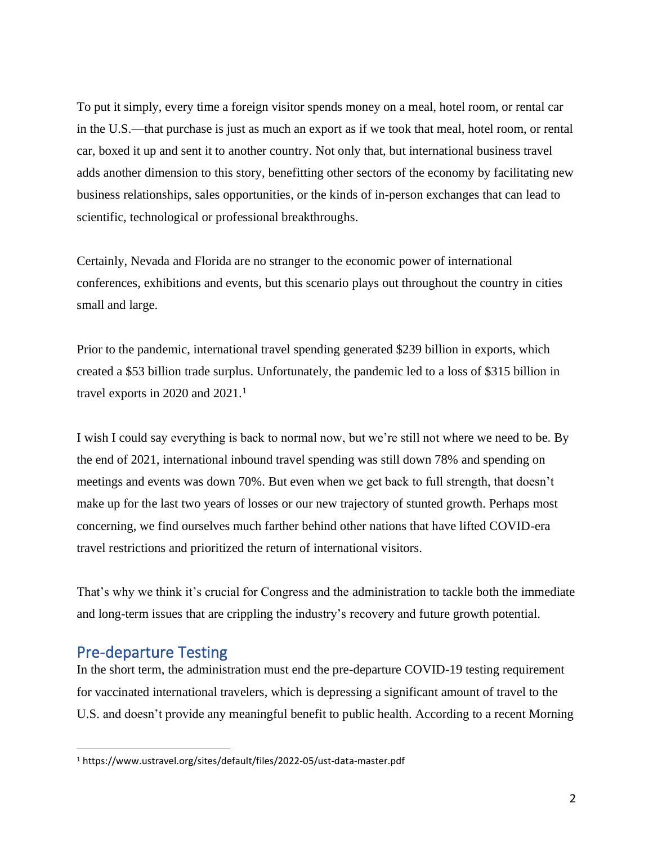To put it simply, every time a foreign visitor spends money on a meal, hotel room, or rental car in the U.S.—that purchase is just as much an export as if we took that meal, hotel room, or rental car, boxed it up and sent it to another country. Not only that, but international business travel adds another dimension to this story, benefitting other sectors of the economy by facilitating new business relationships, sales opportunities, or the kinds of in-person exchanges that can lead to scientific, technological or professional breakthroughs.

Certainly, Nevada and Florida are no stranger to the economic power of international conferences, exhibitions and events, but this scenario plays out throughout the country in cities small and large.

Prior to the pandemic, international travel spending generated \$239 billion in exports, which created a \$53 billion trade surplus. Unfortunately, the pandemic led to a loss of \$315 billion in travel exports in 2020 and 2021.<sup>1</sup>

I wish I could say everything is back to normal now, but we're still not where we need to be. By the end of 2021, international inbound travel spending was still down 78% and spending on meetings and events was down 70%. But even when we get back to full strength, that doesn't make up for the last two years of losses or our new trajectory of stunted growth. Perhaps most concerning, we find ourselves much farther behind other nations that have lifted COVID-era travel restrictions and prioritized the return of international visitors.

That's why we think it's crucial for Congress and the administration to tackle both the immediate and long-term issues that are crippling the industry's recovery and future growth potential.

### Pre-departure Testing

In the short term, the administration must end the pre-departure COVID-19 testing requirement for vaccinated international travelers, which is depressing a significant amount of travel to the U.S. and doesn't provide any meaningful benefit to public health. According to a recent Morning

<sup>1</sup> https://www.ustravel.org/sites/default/files/2022-05/ust-data-master.pdf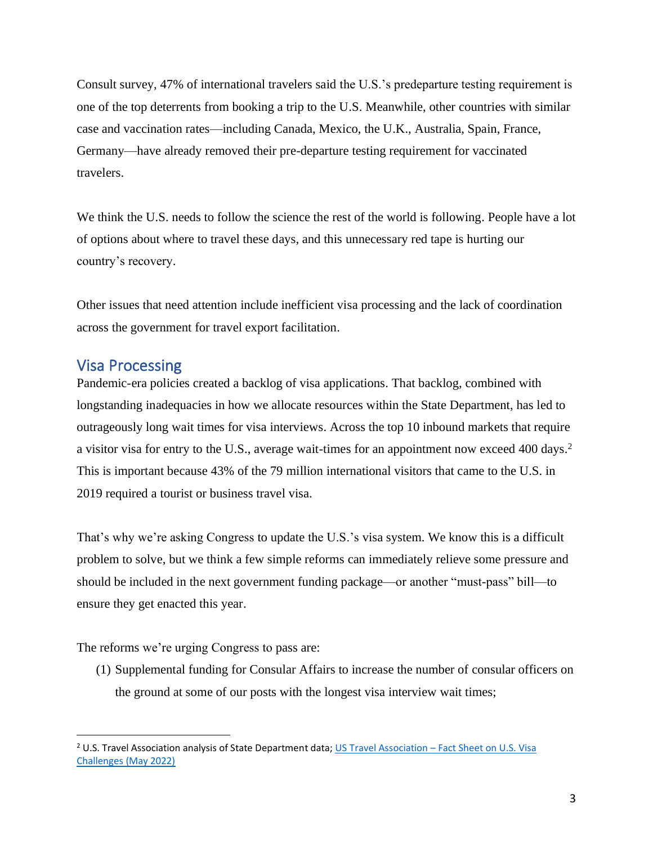Consult survey, 47% of international travelers said the U.S.'s predeparture testing requirement is one of the top deterrents from booking a trip to the U.S. Meanwhile, other countries with similar case and vaccination rates—including Canada, Mexico, the U.K., Australia, Spain, France, Germany—have already removed their pre-departure testing requirement for vaccinated travelers.

We think the U.S. needs to follow the science the rest of the world is following. People have a lot of options about where to travel these days, and this unnecessary red tape is hurting our country's recovery.

Other issues that need attention include inefficient visa processing and the lack of coordination across the government for travel export facilitation.

# Visa Processing

Pandemic-era policies created a backlog of visa applications. That backlog, combined with longstanding inadequacies in how we allocate resources within the State Department, has led to outrageously long wait times for visa interviews. Across the top 10 inbound markets that require a visitor visa for entry to the U.S., average wait-times for an appointment now exceed 400 days.<sup>2</sup> This is important because 43% of the 79 million international visitors that came to the U.S. in 2019 required a tourist or business travel visa.

That's why we're asking Congress to update the U.S.'s visa system. We know this is a difficult problem to solve, but we think a few simple reforms can immediately relieve some pressure and should be included in the next government funding package—or another "must-pass" bill—to ensure they get enacted this year.

The reforms we're urging Congress to pass are:

(1) Supplemental funding for Consular Affairs to increase the number of consular officers on the ground at some of our posts with the longest visa interview wait times;

<sup>&</sup>lt;sup>2</sup> U.S. Travel Association analysis of State Department data; US Travel Association – Fact Sheet on U.S. Visa [Challenges \(May 2022\)](https://www.ustravel.org/sites/default/files/2022-05/visaprocessing-factsheet.pdf)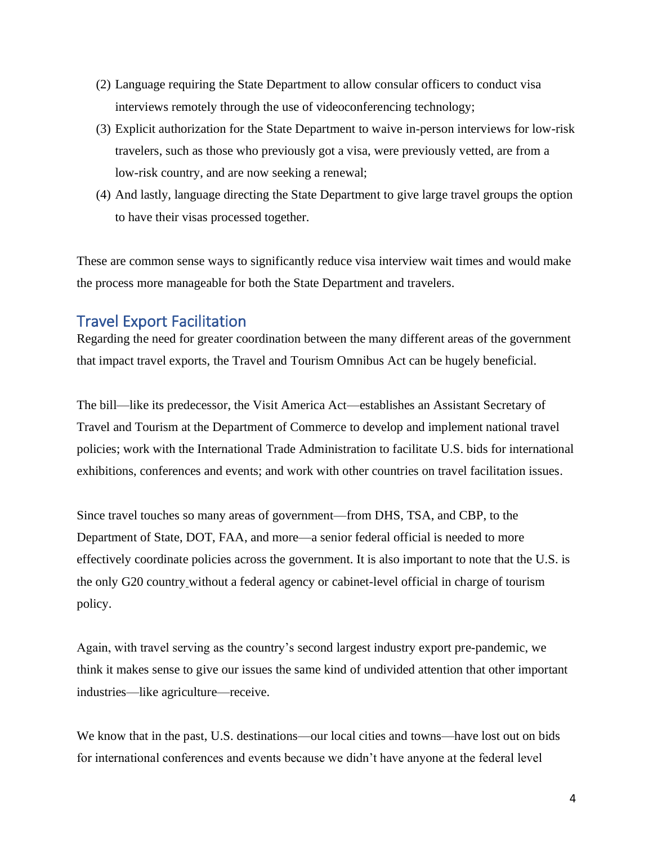- (2) Language requiring the State Department to allow consular officers to conduct visa interviews remotely through the use of videoconferencing technology;
- (3) Explicit authorization for the State Department to waive in-person interviews for low-risk travelers, such as those who previously got a visa, were previously vetted, are from a low-risk country, and are now seeking a renewal;
- (4) And lastly, language directing the State Department to give large travel groups the option to have their visas processed together.

These are common sense ways to significantly reduce visa interview wait times and would make the process more manageable for both the State Department and travelers.

# Travel Export Facilitation

Regarding the need for greater coordination between the many different areas of the government that impact travel exports, the Travel and Tourism Omnibus Act can be hugely beneficial.

The bill—like its predecessor, the Visit America Act—establishes an Assistant Secretary of Travel and Tourism at the Department of Commerce to develop and implement national travel policies; work with the International Trade Administration to facilitate U.S. bids for international exhibitions, conferences and events; and work with other countries on travel facilitation issues.

Since travel touches so many areas of government—from DHS, TSA, and CBP, to the Department of State, DOT, FAA, and more—a senior federal official is needed to more effectively coordinate policies across the government. It is also important to note that the U.S. is the only G20 country without a federal agency or cabinet-level official in charge of tourism policy.

Again, with travel serving as the country's second largest industry export pre-pandemic, we think it makes sense to give our issues the same kind of undivided attention that other important industries—like agriculture—receive.

We know that in the past, U.S. destinations—our local cities and towns—have lost out on bids for international conferences and events because we didn't have anyone at the federal level